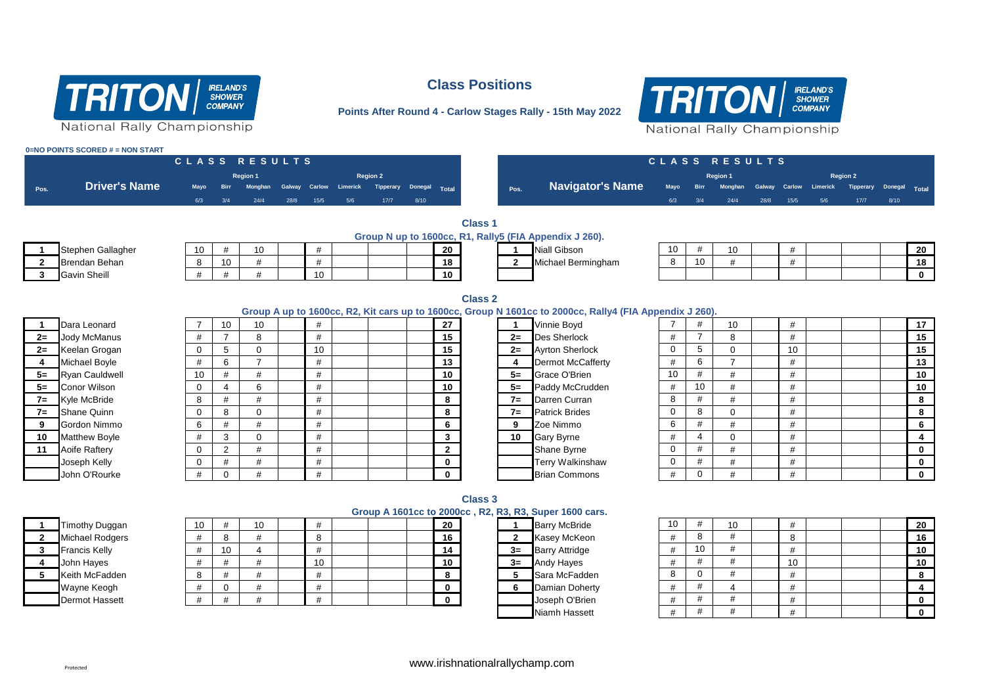

## **Class Positions**

**Points After Round 4 - Carlow Stages Rally - 15th May 2022**



National Rally Championship

#### **0=NO POINTS SCORED # = NON START**

|                         |                      | CLASS RESULTS |                 |          |      |      |                                |                 |               |    |                |      |                                                        |      |             | CLASS RESULTS   |      |      |                        |                         |      |    |
|-------------------------|----------------------|---------------|-----------------|----------|------|------|--------------------------------|-----------------|---------------|----|----------------|------|--------------------------------------------------------|------|-------------|-----------------|------|------|------------------------|-------------------------|------|----|
|                         |                      |               |                 | Region 1 |      |      |                                | <b>Region 2</b> |               |    |                |      |                                                        |      |             | Region 1        |      |      |                        | <b>Region 2</b>         |      |    |
| Pos.                    | <b>Driver's Name</b> | Mayo          | <b>Birr</b>     |          |      |      | Monghan Galway Carlow Limerick | Tipperary       | Donegal Total |    |                | Pos. | <b>Navigator's Name</b>                                | Mayo | <b>Birr</b> | Monghan         |      |      | Galway Carlow Limerick | Tipperary Donegal Total |      |    |
|                         |                      | 6/3           | 3/4             | 24/4     | 28/8 | 15/5 | 5/6                            | 17/7            | 8/10          |    |                |      |                                                        | 6/3  | 3/4         | 24/4            | 28/8 | 15/5 | 5/6                    | 17/7                    | 8/10 |    |
|                         |                      |               |                 |          |      |      |                                |                 |               |    |                |      |                                                        |      |             |                 |      |      |                        |                         |      |    |
|                         |                      |               |                 |          |      |      |                                |                 |               |    | <b>Class 1</b> |      |                                                        |      |             |                 |      |      |                        |                         |      |    |
|                         |                      |               |                 |          |      |      |                                |                 |               |    |                |      | Group N up to 1600cc, R1, Rally5 (FIA Appendix J 260). |      |             |                 |      |      |                        |                         |      |    |
|                         | Stephen Gallagher    | 10            |                 | 10       |      |      |                                |                 |               | 20 |                |      | <b>Niall Gibson</b>                                    | 10   |             | 10 <sup>°</sup> |      |      |                        |                         |      | 20 |
| $\overline{\mathbf{2}}$ | Brendan Behan        |               | 10 <sup>°</sup> | #        |      |      |                                |                 |               | 18 |                |      | Michael Bermingham                                     | 8    | 10          | #               |      |      |                        |                         |      | 18 |
|                         | 3 Gavin Sheill       |               |                 |          |      | 10   |                                |                 |               | 10 |                |      |                                                        |      |             |                 |      |      |                        |                         |      |    |
|                         |                      |               |                 |          |      |      |                                |                 |               |    |                |      |                                                        |      |             |                 |      |      |                        |                         |      |    |
|                         |                      |               |                 |          |      |      |                                |                 |               |    | Close 2        |      |                                                        |      |             |                 |      |      |                        |                         |      |    |

| Dara Leonard        |
|---------------------|
| <b>Jody McManus</b> |
| Keelan Grogan       |
| Michael Boyle       |
| Ryan Cauldwel       |
| Conor Wilson        |
| Kyle McBride        |
| Shane Quinn         |
| Gordon Nimmo        |
| Matthew Boyle       |
| Aoife Raftery       |
| Joseph Kelly        |
| John O'Rourke       |
|                     |

|--|--|--|

### **Group A up to 1600cc, R2, Kit cars up to 1600cc, Group N 1601cc to 2000cc, Rally4 (FIA Appendix J 260).**

| 10 | #  |  | 27           |  |
|----|----|--|--------------|--|
| 8  | #  |  | 15           |  |
| 0  | 10 |  | 15           |  |
| 7  | #  |  | 13           |  |
| #  | #  |  | 10           |  |
| 6  | #  |  | 10           |  |
| #  | #  |  | 8            |  |
| 0  | #  |  | 8            |  |
| #  | #  |  | 6            |  |
| 0  | #  |  | 3            |  |
| #  | #  |  | $\mathbf{2}$ |  |
| #  | #  |  | 0            |  |
| #  | #  |  | 0            |  |

|       |                      |    |    |    |    |              |                 | Group A up to Toooco, Kz, Kit cars up to Toooco, Group in TooToo to Zoooco, Kally4 (FIA Appellul). J 2007. |    |    |    |  |                 |
|-------|----------------------|----|----|----|----|--------------|-----------------|------------------------------------------------------------------------------------------------------------|----|----|----|--|-----------------|
|       | Dara Leonard         |    | 10 | 10 |    | 27           |                 | Vinnie Boyd                                                                                                |    | 10 |    |  | 17 <sub>1</sub> |
| $2 =$ | <b>Jody McManus</b>  |    |    |    |    | 15           | $2=$            | <b>Des Sherlock</b>                                                                                        |    |    |    |  | 15              |
|       | 2= Keelan Grogan     |    |    |    | 10 | 15           | $2=$            | <b>Ayrton Sherlock</b>                                                                                     |    |    | 10 |  | 15              |
| 4     | <b>Michael Boyle</b> |    |    |    |    | 13           |                 | <b>Dermot McCafferty</b>                                                                                   |    |    |    |  | 13              |
|       | 5= Ryan Cauldwell    | 10 |    |    |    | 10           | $5=$            | Grace O'Brien                                                                                              |    |    |    |  | 10              |
|       | 5= Conor Wilson      |    |    |    |    | 10           | $5=$            | Paddy McCrudden                                                                                            | 10 |    |    |  | 10              |
|       | 7= Kyle McBride      |    |    |    |    | 8            | $7=$            | Darren Curran                                                                                              |    |    |    |  |                 |
| $7 =$ | <b>Shane Quinn</b>   |    |    |    |    |              | $7=$            | <b>Patrick Brides</b>                                                                                      |    |    |    |  |                 |
| 9     | Gordon Nimmo         |    |    |    |    | 6            | 9               | Zoe Nimmo                                                                                                  |    |    |    |  | 6.              |
| 10    | <b>Matthew Boyle</b> |    |    |    |    | 3            | 10 <sup>1</sup> | <b>Gary Byrne</b>                                                                                          |    |    |    |  |                 |
| 11    | Aoife Raftery        |    |    |    |    |              |                 | <b>Shane Byrne</b>                                                                                         |    |    |    |  |                 |
|       | Joseph Kelly         |    |    |    |    | $\mathbf{0}$ |                 | <b>Terry Walkinshaw</b>                                                                                    |    |    |    |  |                 |
|       | John O'Rourke        |    |    |    |    |              |                 | <b>Brian Commons</b>                                                                                       |    |    |    |  |                 |

|   | <b>Timothy Duggan</b>  |
|---|------------------------|
| 2 | <b>Michael Rodgers</b> |
| 3 | <b>Francis Kelly</b>   |
| 4 | John Hayes             |
| 5 | Keith McFadden         |
|   | Wayne Keogh            |
|   | <b>Dermot Hassett</b>  |

|                                                        | Class 3 |  |
|--------------------------------------------------------|---------|--|
| Group A 1601cc to 2000cc, R2, R3, R3, Super 1600 cars. |         |  |

|              | <b>Barry McBride</b>  |
|--------------|-----------------------|
| $\mathbf{2}$ | Kasey McKeon          |
|              | <b>Barry Attridge</b> |
|              | Andy Hayes            |
| 5            | Sara McFadden         |
| 6            | Damian Doherty        |
|              | Joseph O'Brien        |
|              | Niamh Hassett         |
|              |                       |

|                        |    |    |    |    |  |    |      | Group A T60 FCC to Z000CC, RZ, R3, R3, Super T600 Cars. |    |    |    |  |  |                 |
|------------------------|----|----|----|----|--|----|------|---------------------------------------------------------|----|----|----|--|--|-----------------|
| <b>Timothy Duggan</b>  | 10 |    | 10 |    |  | 20 |      | <b>Barry McBride</b>                                    | 10 |    | 10 |  |  | 20              |
| <b>Michael Rodgers</b> |    |    |    |    |  | 16 |      | Kasey McKeon                                            |    |    |    |  |  | 16              |
| <b>Francis Kelly</b>   |    | 10 |    |    |  | 14 | $3=$ | Barry Attridge                                          |    | 10 |    |  |  | 10 <sup>°</sup> |
| John Hayes             |    |    |    | 10 |  | 10 | $3=$ | <b>Andy Hayes</b>                                       |    |    |    |  |  | 10              |
| Keith McFadden         |    |    |    |    |  |    |      | Sara McFadden                                           |    |    |    |  |  |                 |
| Wayne Keogh            |    |    |    |    |  |    |      | Damian Doherty                                          |    |    |    |  |  |                 |
| Dermot Hassett         |    |    |    |    |  |    |      | Joseph O'Brien                                          |    |    |    |  |  | $\mathbf{0}$    |
|                        |    |    |    |    |  |    |      | Niamh Hassett                                           |    |    |    |  |  | $\mathbf 0$     |

### Protected Protected Reserved and December 2012 of the Protected Reserved Bureau and December 2013 of the Protected Reserved Bureau and December 2013 of the Protected Reserved Bureau and December 2013 of the Protected Reser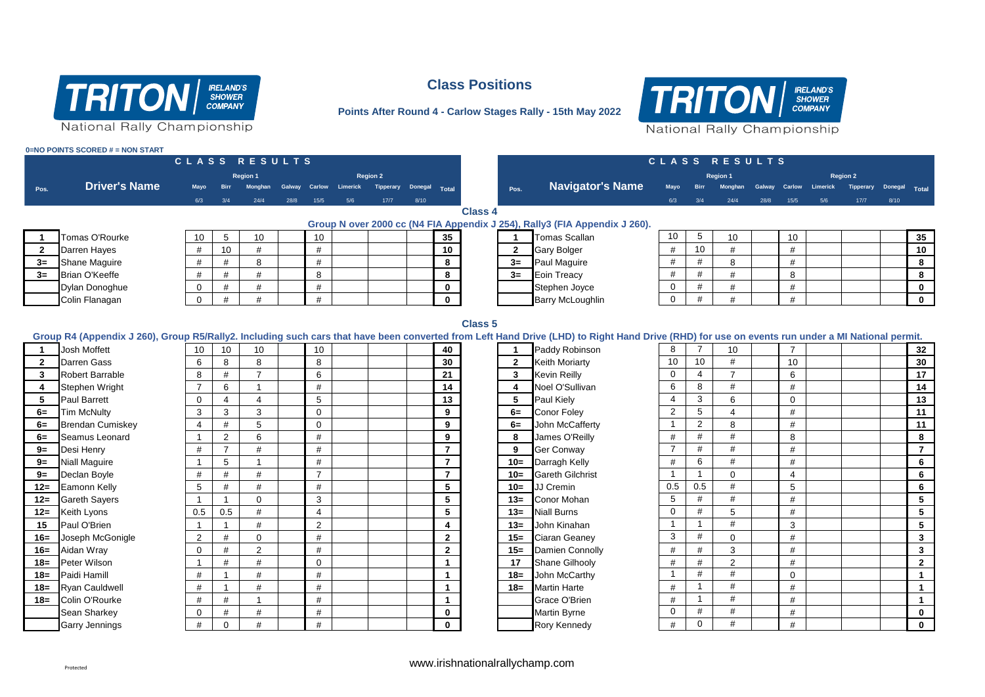

**0=NO POINTS SCORED # = NON START**

# **Class Positions**





|                |                                                                                                                                                                                                 |                |                | CLASS RESULTS  |      |                |                 |                  |         |                |                |                 |                                                                            |                |                | CLASS RESULTS   |        |                |          |                 |         |                 |
|----------------|-------------------------------------------------------------------------------------------------------------------------------------------------------------------------------------------------|----------------|----------------|----------------|------|----------------|-----------------|------------------|---------|----------------|----------------|-----------------|----------------------------------------------------------------------------|----------------|----------------|-----------------|--------|----------------|----------|-----------------|---------|-----------------|
|                | <b>Region 2</b><br>Region 1                                                                                                                                                                     |                |                |                |      |                |                 |                  |         |                |                |                 |                                                                            |                |                | <b>Region 1</b> |        |                |          | <b>Region 2</b> |         |                 |
| Pos.           | <b>Driver's Name</b>                                                                                                                                                                            | Mayo           | <b>Birr</b>    |                |      | Galway Carlow  | <b>Limerick</b> | <b>Tipperary</b> | Donegal | Total          |                | Pos.            | <b>Navigator's Name</b>                                                    | Mayo           | <b>Birr</b>    | <b>Monghan</b>  | Galway | Carlow         | Limerick | Tipperary       | Donegal | Total           |
|                |                                                                                                                                                                                                 | 6/3            | 3/4            | 24/4           | 28/8 | 15/5           | 5/6             | 17/7             | 8/10    |                |                |                 |                                                                            | 6/3            | 3/4            | 24/4            | 28/8   | 15/5           | 5/6      | 17/7            | 8/10    |                 |
|                |                                                                                                                                                                                                 |                |                |                |      |                |                 |                  |         |                | <b>Class 4</b> |                 |                                                                            |                |                |                 |        |                |          |                 |         |                 |
|                |                                                                                                                                                                                                 |                |                |                |      |                |                 |                  |         |                |                |                 | Group N over 2000 cc (N4 FIA Appendix J 254), Rally3 (FIA Appendix J 260). |                |                |                 |        |                |          |                 |         |                 |
| $\mathbf 1$    | Tomas O'Rourke                                                                                                                                                                                  | 10             | 5              | 10             |      | 10             |                 |                  |         | 35             |                | $\mathbf{1}$    | <b>Tomas Scallan</b>                                                       | 10             | 5              | 10              |        | 10             |          |                 |         | 35              |
| $\overline{2}$ | Darren Hayes                                                                                                                                                                                    | #              | 10             | #              |      | #              |                 |                  |         | 10             |                | $\overline{2}$  | <b>Gary Bolger</b>                                                         | #              | 10             | #               |        | #              |          |                 |         | 10              |
| $3=$           | <b>Shane Maguire</b>                                                                                                                                                                            | #              | #              | 8              |      | #              |                 |                  |         | 8              |                | $3=$            | Paul Maguire                                                               | #              | #              | 8               |        | #              |          |                 |         | 8               |
| $3=$           | <b>Brian O'Keeffe</b>                                                                                                                                                                           | #              | #              | #              |      | 8              |                 |                  |         | 8              |                | $3=$            | <b>Eoin Treacy</b>                                                         | #              | #              | #               |        | 8              |          |                 |         | 8               |
|                | Dylan Donoghue                                                                                                                                                                                  | $\mathbf 0$    | #              | #              |      | #              |                 |                  |         | $\mathbf 0$    |                |                 | Stephen Joyce                                                              | $\mathbf{0}$   | #              | #               |        | #              |          |                 |         | $\mathbf 0$     |
|                | Colin Flanagan                                                                                                                                                                                  | $\mathbf 0$    | #              | #              |      | #              |                 |                  |         | $\mathbf{0}$   |                |                 | <b>Barry McLoughlin</b>                                                    | $\mathbf 0$    | #              | #               |        | #              |          |                 |         | $\mathbf{0}$    |
|                |                                                                                                                                                                                                 |                |                |                |      |                |                 |                  |         |                |                |                 |                                                                            |                |                |                 |        |                |          |                 |         |                 |
|                |                                                                                                                                                                                                 |                |                |                |      |                |                 |                  |         |                | <b>Class 5</b> |                 |                                                                            |                |                |                 |        |                |          |                 |         |                 |
|                | Group R4 (Appendix J 260), Group R5/Rally2. Including such cars that have been converted from Left Hand Drive (LHD) to Right Hand Drive (RHD) for use on events run under a MI National permit. |                |                |                |      |                |                 |                  |         |                |                |                 |                                                                            |                |                |                 |        |                |          |                 |         |                 |
| $\mathbf{1}$   | Josh Moffett                                                                                                                                                                                    | 10             | 10             | 10             |      | 10             |                 |                  |         | 40             |                | $\mathbf{1}$    | Paddy Robinson                                                             | 8              | $\overline{7}$ | 10              |        | $\overline{7}$ |          |                 |         | 32              |
| $\mathbf{2}$   | <b>Darren Gass</b>                                                                                                                                                                              | 6              | 8              | 8              |      | 8              |                 |                  |         | 30             |                | $\overline{2}$  | <b>Keith Moriarty</b>                                                      | 10             | 10             | #               |        | 10             |          |                 |         | 30              |
| 3              | <b>Robert Barrable</b>                                                                                                                                                                          | 8              | $\#$           | $\overline{7}$ |      | 6              |                 |                  |         | 21             |                | $\mathbf{3}$    | <b>Kevin Reilly</b>                                                        | $\mathbf 0$    | 4              | $\overline{7}$  |        | 6              |          |                 |         | 17              |
| 4              | Stephen Wright                                                                                                                                                                                  | $\overline{7}$ | 6              | $\overline{1}$ |      | #              |                 |                  |         | 14             |                | 4               | Noel O'Sullivan                                                            | 6              | 8              | $\#$            |        | #              |          |                 |         | 14              |
| 5              | <b>Paul Barrett</b>                                                                                                                                                                             | $\mathbf 0$    | $\overline{4}$ | $\overline{4}$ |      | 5              |                 |                  |         | 13             |                | $5\phantom{.0}$ | Paul Kiely                                                                 | 4              | 3              | 6               |        | $\mathbf 0$    |          |                 |         | 13              |
| 6=             | <b>Tim McNulty</b>                                                                                                                                                                              | 3              | 3              | 3              |      | $\mathbf 0$    |                 |                  |         | 9              |                | $6=$            | <b>Conor Foley</b>                                                         | $\overline{2}$ | 5              | 4               |        | #              |          |                 |         | 11              |
| $6=$           | <b>Brendan Cumiskey</b>                                                                                                                                                                         | $\overline{4}$ | #              | 5              |      | $\mathbf 0$    |                 |                  |         | 9              |                | $6=$            | John McCafferty                                                            | $\mathbf{1}$   | 2              | 8               |        | #              |          |                 |         | 11              |
| $6=$           | Seamus Leonard                                                                                                                                                                                  | $\overline{1}$ | 2              | 6              |      | $\#$           |                 |                  |         | 9              |                | 8               | James O'Reilly                                                             | #              | #              | #               |        | 8              |          |                 |         | 8               |
| $9=$           | Desi Henry                                                                                                                                                                                      | #              | $\overline{7}$ | #              |      | #              |                 |                  |         | $\overline{7}$ |                | 9               | Ger Conway                                                                 | $\overline{7}$ | #              | #               |        | #              |          |                 |         | $\overline{7}$  |
| $9=$           | <b>Niall Maguire</b>                                                                                                                                                                            | $\overline{1}$ | 5              | $\mathbf{1}$   |      | #              |                 |                  |         | $\overline{7}$ |                | $10=$           | Darragh Kelly                                                              | #              | 6              | #               |        | #              |          |                 |         | 6               |
| $9=$           | Declan Boyle                                                                                                                                                                                    | #              | #              | #              |      | $\overline{7}$ |                 |                  |         | $\overline{7}$ |                | $10=$           | <b>Gareth Gilchrist</b>                                                    | $\overline{1}$ | $\mathbf 1$    | $\mathbf 0$     |        | $\overline{4}$ |          |                 |         | 6               |
| $12 =$         | Eamonn Kelly                                                                                                                                                                                    | 5              | #              | #              |      | #              |                 |                  |         | 5              |                | $10=$           | JJ Cremin                                                                  | 0.5            | 0.5            | $\#$            |        | 5              |          |                 |         | 6               |
| $12 =$         | <b>Gareth Sayers</b>                                                                                                                                                                            | $\overline{1}$ | $\mathbf{1}$   | $\mathbf 0$    |      | 3              |                 |                  |         | 5              |                | $13 =$          | <b>Conor Mohan</b>                                                         | 5              | #              | #               |        | #              |          |                 |         | $5^{\circ}$     |
| $12 =$         | <b>Keith Lyons</b>                                                                                                                                                                              | 0.5            | 0.5            | $\#$           |      | $\overline{4}$ |                 |                  |         | 5              |                | $13 =$          | <b>Niall Burns</b>                                                         | $\mathbf{0}$   | #              | 5               |        | $\#$           |          |                 |         | $5\overline{)}$ |
| 15             | Paul O'Brien                                                                                                                                                                                    | $\overline{1}$ |                | #              |      | 2              |                 |                  |         | 4              |                | $13 =$          | John Kinahan                                                               | $\mathbf{1}$   | $\mathbf{1}$   | #               |        | $\mathbf{3}$   |          |                 |         | $5^{\circ}$     |
| $16=$          | Joseph McGonigle                                                                                                                                                                                | $\overline{2}$ | #              | $\mathbf 0$    |      | #              |                 |                  |         | $\mathbf{2}$   |                | $15 =$          | Ciaran Geaney                                                              | 3              | $\#$           | $\mathbf 0$     |        | $\#$           |          |                 |         | $\mathbf{3}$    |
| $16=$          | Aidan Wray                                                                                                                                                                                      | $\mathbf 0$    | #              | 2              |      | #              |                 |                  |         | $\mathbf{2}$   |                | $15 =$          | Damien Connolly                                                            | $\#$           | #              | 3               |        | $\#$           |          |                 |         | $\mathbf{3}$    |
| $18 =$         | Peter Wilson                                                                                                                                                                                    | $\overline{1}$ | #              | #              |      | $\mathbf 0$    |                 |                  |         | $\mathbf{1}$   |                | 17              | <b>Shane Gilhooly</b>                                                      | #              | #              | 2               |        | #              |          |                 |         | $\overline{2}$  |
| $18 =$         | Paidi Hamill                                                                                                                                                                                    | #              | -1             | #              |      | #              |                 |                  |         | $\mathbf{1}$   |                | $18 =$          | John McCarthy                                                              | $\mathbf{1}$   | $\#$           | #               |        | $\mathbf 0$    |          |                 |         | $\mathbf{1}$    |
| $18 =$         | Ryan Cauldwell                                                                                                                                                                                  | #              | -1             | #              |      | #              |                 |                  |         | $\mathbf{1}$   |                | $18 =$          | <b>Martin Harte</b>                                                        | #              | $\mathbf 1$    | #               |        | #              |          |                 |         | $\mathbf{1}$    |
| $18 =$         | Colin O'Rourke                                                                                                                                                                                  | #              | #              | $\overline{1}$ |      | #              |                 |                  |         | $\mathbf{1}$   |                |                 | Grace O'Brien                                                              | #              | $\mathbf 1$    | #               |        | #              |          |                 |         | $\overline{1}$  |
|                | Sean Sharkey                                                                                                                                                                                    | 0              | #              | #              |      | #              |                 |                  |         | $\mathbf 0$    |                |                 | <b>Martin Byrne</b>                                                        | $\mathbf 0$    | #              | #               |        | #              |          |                 |         | $\mathbf 0$     |
|                | <b>Garry Jennings</b>                                                                                                                                                                           | #              | $\Omega$       | #              |      | #              |                 |                  |         | $\mathbf{0}$   |                |                 | Rory Kennedy                                                               | #              | $\mathbf 0$    | #               |        | #              |          |                 |         | $\mathbf{0}$    |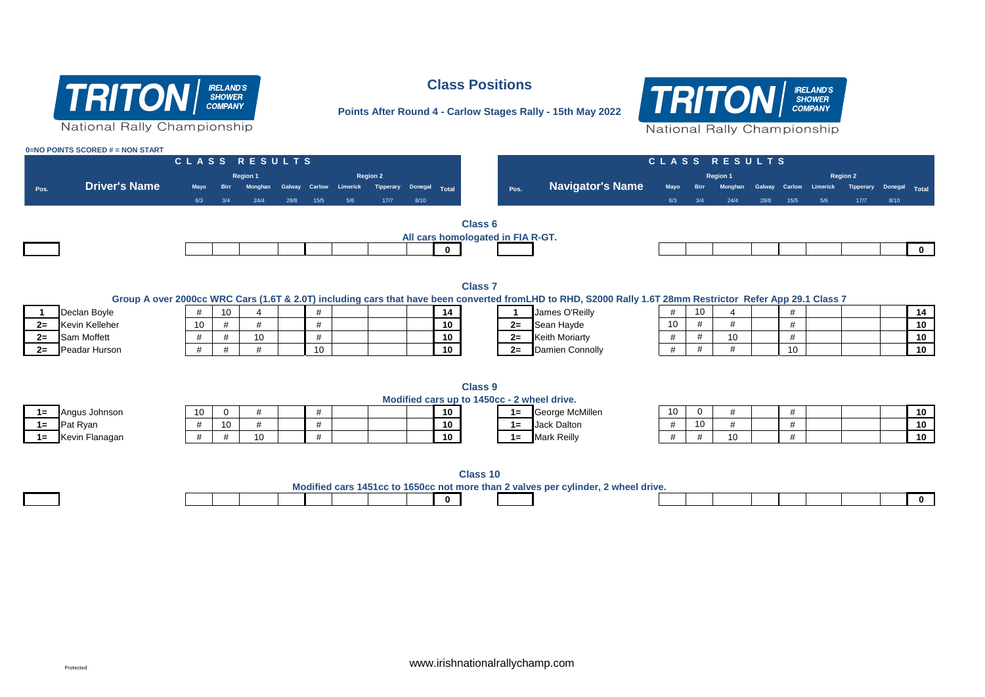

### **Class Positions**



**Points After Round 4 - Carlow Stages Rally - 15th May 2022**

|       | 0=NO POINTS SCORED # = NON START |               |             |                |                        |      |                 |                          |              |                                             |                                                                                                                                                            |               |             |                |      |      |                        |           |         |              |
|-------|----------------------------------|---------------|-------------|----------------|------------------------|------|-----------------|--------------------------|--------------|---------------------------------------------|------------------------------------------------------------------------------------------------------------------------------------------------------------|---------------|-------------|----------------|------|------|------------------------|-----------|---------|--------------|
|       |                                  | CLASS RESULTS |             |                |                        |      |                 |                          |              |                                             |                                                                                                                                                            | CLASS RESULTS |             |                |      |      |                        |           |         |              |
|       |                                  |               |             | Region 1       |                        |      | <b>Region 2</b> |                          |              |                                             |                                                                                                                                                            |               |             | Region 1       |      |      |                        | Region 2  |         |              |
| Pos.  | <b>Driver's Name</b>             | <b>Mayo</b>   | <b>Birr</b> | <b>Monghan</b> | Galway Carlow Limerick |      |                 | <b>Tipperary Donegal</b> | Total        | Pos.                                        | <b>Navigator's Name</b>                                                                                                                                    | Mayo          | <b>Birr</b> | <b>Monghan</b> |      |      | Galway Carlow Limerick | Tipperary | Donegal | Total        |
|       |                                  | 6/3           | 3/4         | 24/4           | 28/8                   | 15/5 | 17/7<br>5/6     | 8/10                     |              |                                             |                                                                                                                                                            | 6/3           | 3/4         | 24/4           | 28/8 | 15/5 | 5/6                    | 17/7      | 8/10    |              |
|       |                                  |               |             |                |                        |      |                 |                          |              |                                             |                                                                                                                                                            |               |             |                |      |      |                        |           |         |              |
|       |                                  |               |             |                |                        |      |                 |                          |              | Class <sub>6</sub>                          |                                                                                                                                                            |               |             |                |      |      |                        |           |         |              |
|       |                                  |               |             |                |                        |      |                 |                          |              | All cars homologated in FIA R-GT.           |                                                                                                                                                            |               |             |                |      |      |                        |           |         |              |
|       |                                  |               |             |                |                        |      |                 |                          | $\mathbf{0}$ |                                             |                                                                                                                                                            |               |             |                |      |      |                        |           |         | $\mathbf{0}$ |
|       |                                  |               |             |                |                        |      |                 |                          |              |                                             |                                                                                                                                                            |               |             |                |      |      |                        |           |         |              |
|       |                                  |               |             |                |                        |      |                 |                          |              |                                             |                                                                                                                                                            |               |             |                |      |      |                        |           |         |              |
|       |                                  |               |             |                |                        |      |                 |                          |              | <b>Class 7</b>                              |                                                                                                                                                            |               |             |                |      |      |                        |           |         |              |
|       |                                  |               |             |                |                        |      |                 |                          |              |                                             | Group A over 2000cc WRC Cars (1.6T & 2.0T) including cars that have been converted fromLHD to RHD, S2000 Rally 1.6T 28mm Restrictor Refer App 29.1 Class 7 |               |             |                |      |      |                        |           |         |              |
|       | Declan Boyle                     | #             | 10          |                |                        | #    |                 |                          | 14           |                                             | James O'Reilly                                                                                                                                             | #             | 10          | $\overline{4}$ |      | #    |                        |           |         | 14           |
| $2=$  | Kevin Kelleher                   | 10            | #           | #              |                        | #    |                 |                          | 10           | $2 =$                                       | Sean Hayde                                                                                                                                                 | 10            | #           | #              |      | #    |                        |           |         | 10           |
| $2=$  | Sam Moffett                      | #             | #           | 10             |                        | #    |                 |                          | 10           |                                             | 2= Keith Moriarty                                                                                                                                          | #             | #           | 10             |      | #    |                        |           |         | 10           |
| $2=$  | Peadar Hurson                    | #             | #           | #              |                        | 10   |                 |                          | 10           | $2 =$                                       | Damien Connolly                                                                                                                                            | #             | #           | #              |      | 10   |                        |           |         | 10           |
|       |                                  |               |             |                |                        |      |                 |                          |              |                                             |                                                                                                                                                            |               |             |                |      |      |                        |           |         |              |
|       |                                  |               |             |                |                        |      |                 |                          |              |                                             |                                                                                                                                                            |               |             |                |      |      |                        |           |         |              |
|       |                                  |               |             |                |                        |      |                 |                          |              | <b>Class 9</b>                              |                                                                                                                                                            |               |             |                |      |      |                        |           |         |              |
|       |                                  |               |             |                |                        |      |                 |                          |              | Modified cars up to 1450cc - 2 wheel drive. |                                                                                                                                                            |               |             |                |      |      |                        |           |         |              |
| $1 =$ | Angus Johnson                    | 10            | $\mathbf 0$ | #              |                        | #    |                 |                          | 10           |                                             | 1= George McMillen                                                                                                                                         | 10            | 0           | #              |      | #    |                        |           |         | 10           |
| $1 =$ | Pat Ryan                         | #             | 10          | #              |                        | #    |                 |                          | 10           |                                             | $1 =$ Jack Dalton                                                                                                                                          | #             | 10          | #              |      | #    |                        |           |         | 10           |
| $1 =$ | Kevin Flanagan                   | #             | #           | 10             |                        | #    |                 |                          | 10           |                                             | 1= Mark Reilly                                                                                                                                             | #             | #           | 10             |      | #    |                        |           |         | 10           |
|       |                                  |               |             |                |                        |      |                 |                          |              |                                             |                                                                                                                                                            |               |             |                |      |      |                        |           |         |              |
|       |                                  |               |             |                |                        |      |                 |                          |              |                                             |                                                                                                                                                            |               |             |                |      |      |                        |           |         |              |
|       |                                  |               |             |                |                        |      |                 |                          |              | <b>Class 10</b>                             |                                                                                                                                                            |               |             |                |      |      |                        |           |         |              |
|       |                                  |               |             |                |                        |      |                 |                          |              |                                             | Modified cars 1451cc to 1650cc not more than 2 valves per cylinder, 2 wheel drive.                                                                         |               |             |                |      |      |                        |           |         |              |
|       |                                  |               |             |                |                        |      |                 |                          | $\mathbf{0}$ |                                             |                                                                                                                                                            |               |             |                |      |      |                        |           |         | $\mathbf{0}$ |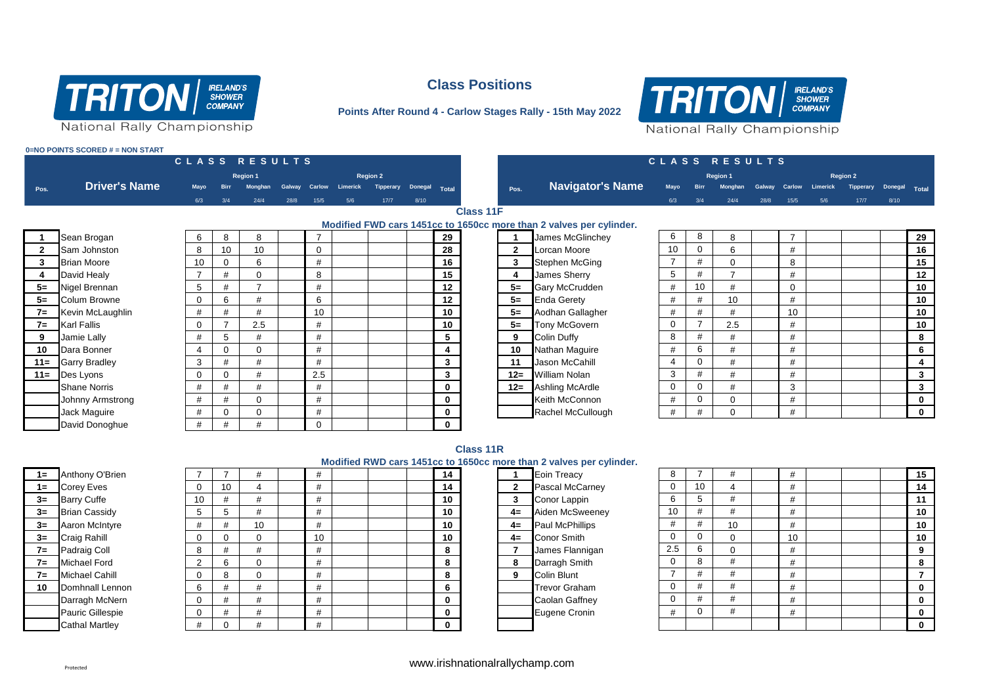

# **Class Positions**





National Rally Championship

#### **0=NO POINTS SCORED # = NON START** Pos. **Driver's Name** Mayo Birr Monghan Galway Carlow Limerick Tipperary Donegal Total Pos. Navigator's Name Mayo Birr Monghan Galway Carlow Limerick Tipperary Donegal Total 6/3 3/4 24/4 28/8 15/5 5/6 17/7 8/10 6/3 3/4 24/4 28/8 15/5 5/6 17/7 8/10 **C L A S S R E S U L T S C L A S S R E S U L T S Region 1 Region 2 Driver's Name Region 1 Region 2 Navigator's Name Class 11F Modified FWD cars 1451cc to 1650cc more than 2 valves per cylinder. 1** Sean Brogan 6 8 8 7 **29 1** James McGlinchey 6 8 8 7 **29 2** Sam Johnston 8 10 10 0 **28 2** Lorcan Moore 10 0 6 # **16 3** Brian Moore 10 0 6 # **16 3** Stephen McGing 7 # 0 8 **15 4** David Healy 7 # 0 8 **15 4** James Sherry 5 # 7 # **12 5=** Nigel Brennan | 5 | # | 7 | | # | | | 12 5= Gary McCrudden | # | 10 | # | | 0 | | <u>| 10</u> **5=** Colum Browne | 0 | 6 | # | | 6 | | | 12 | | 5= |Enda Gerety | # | 10 | | # | | | 10 **7=** Kevin McLaughlin # # # 10 **10 5=** Aodhan Gallagher # # # 10 **10 7=** Karl Fallis 0 7 2.5 # **10 5=** Tony McGovern 0 7 2.5 # **10 9** Jamie Lally # 5 # # **5 9** Colin Duffy 8 # # # **8 10** Dara Bonner 4 0 0 # **4 10** Nathan Maguire # 6 # # **6 11=** Garry Bradley 3 # # # **3 11** Jason McCahill 4 0 # # **4 11=** Des Lyons 0 0 # 2.5 **3 12=** William Nolan 3 # # # **3** Shane Norris # # # # **0 12=** Ashling McArdle 0 0 # 3 **3** Johnny Armstrong # # 0 # **0** Keith McConnon # 0 0 # **0** Jack Maguire # 0 0 # **0** Rachel McCullough # # 0 # **0** David Donoghue # # # 0 **0**

| $1 =$ | Anthony O'Brie        |
|-------|-----------------------|
| $1 =$ | <b>Corey Eves</b>     |
| $3=$  | <b>Barry Cuffe</b>    |
| $3=$  | <b>Brian Cassidy</b>  |
| $3=$  | Aaron McIntyre        |
| $3=$  | Craig Rahill          |
| $7 =$ | Padraig Coll          |
| $7 =$ | <b>Michael Ford</b>   |
| $7 =$ | <b>Michael Cahill</b> |
| 10    | Domhnall Lenr         |
|       | Darragh McNe          |
|       | Pauric Gillespie      |
|       | Cathal Martley        |

|                                                                     | Class 11R |  |  |  |
|---------------------------------------------------------------------|-----------|--|--|--|
| Modified RWD cars 1451cc to 1650cc more than 2 valves per cylinder. |           |  |  |  |

| $1 =$ | Anthony O'Brien         |    |    | #        |    | 14              |                | Eoin Treacy          |     |    |    | #  |  | 15 |
|-------|-------------------------|----|----|----------|----|-----------------|----------------|----------------------|-----|----|----|----|--|----|
| $1 =$ | <b>Corey Eves</b>       |    | 10 |          |    | 14              | $\overline{2}$ | Pascal McCarney      |     | 10 |    |    |  | 14 |
| $3=$  | <b>Barry Cuffe</b>      | 10 |    | #        |    | 10 <sub>1</sub> | 3              | Conor Lappin         |     |    |    |    |  | 11 |
| $3=$  | <b>Brian Cassidy</b>    |    |    | #        |    | 10 <sub>1</sub> | $4=$           | Aiden McSweeney      | 10  |    |    |    |  | 10 |
|       | 3= Aaron McIntyre       |    |    | 10       |    | 10              | $4=$           | Paul McPhillips      |     |    | 10 |    |  | 10 |
| $3=$  | <b>Craig Rahill</b>     |    |    |          | 10 | 10 <sub>1</sub> | $4=$           | <b>Conor Smith</b>   |     |    |    | 10 |  | 10 |
| $7 =$ | Padraig Coll            |    |    |          |    | 8               |                | James Flannigan      | 2.5 |    |    |    |  |    |
| $7 =$ | <b>Michael Ford</b>     |    | 6  | $\Omega$ |    | 8               | 8              | Darragh Smith        |     |    | Ħ  |    |  |    |
| $7 =$ | <b>Michael Cahill</b>   |    | 8  | $\Omega$ |    | 8               | 9              | <b>Colin Blunt</b>   |     |    | #  |    |  |    |
| 10    | Domhnall Lennon         |    |    | #        |    | 6               |                | <b>Trevor Graham</b> |     |    |    |    |  | 0  |
|       | Darragh McNern          |    |    | #        |    | $\mathbf 0$     |                | Caolan Gaffney       |     |    | #  |    |  |    |
|       | <b>Pauric Gillespie</b> |    |    | #        |    | $\mathbf 0$     |                | Eugene Cronin        |     |    |    |    |  | 0  |
|       | <b>Cathal Martley</b>   |    |    |          |    | $\Omega$        |                |                      |     |    |    |    |  |    |

|                | Eoin Treacy        |
|----------------|--------------------|
| $\overline{2}$ | Pascal McCarney    |
| 3              | Conor Lappin       |
| $4=$           | Aiden McSweeney    |
| $4=$           | Paul McPhillips    |
| $4=$           | <b>Conor Smith</b> |
| 7              | James Flannigan    |
| 8              | Darragh Smith      |
| 9              | Colin Blunt        |
|                | Trevor Graham      |
|                | Caolan Gaffney     |
|                | Eugene Cronin      |
|                |                    |

| 8   | 7  | #  | #  |  | 15 |
|-----|----|----|----|--|----|
| 0   | 10 | 4  | #  |  | 14 |
| 6   | 5  | #  | #  |  | 11 |
| 10  | #  | #  | #  |  | 10 |
| #   | #  | 10 | #  |  | 10 |
| 0   | 0  | 0  | 10 |  | 10 |
| 2.5 | 6  | 0  | #  |  | 9  |
| 0   | 8  | #  | #  |  | 8  |
| 7   | #  | #  | #  |  | 7  |
| 0   | #  | #  | #  |  | 0  |
| 0   | #  | #  | #  |  | 0  |
| #   | 0  | #  | #  |  | 0  |
|     |    |    |    |  | 0  |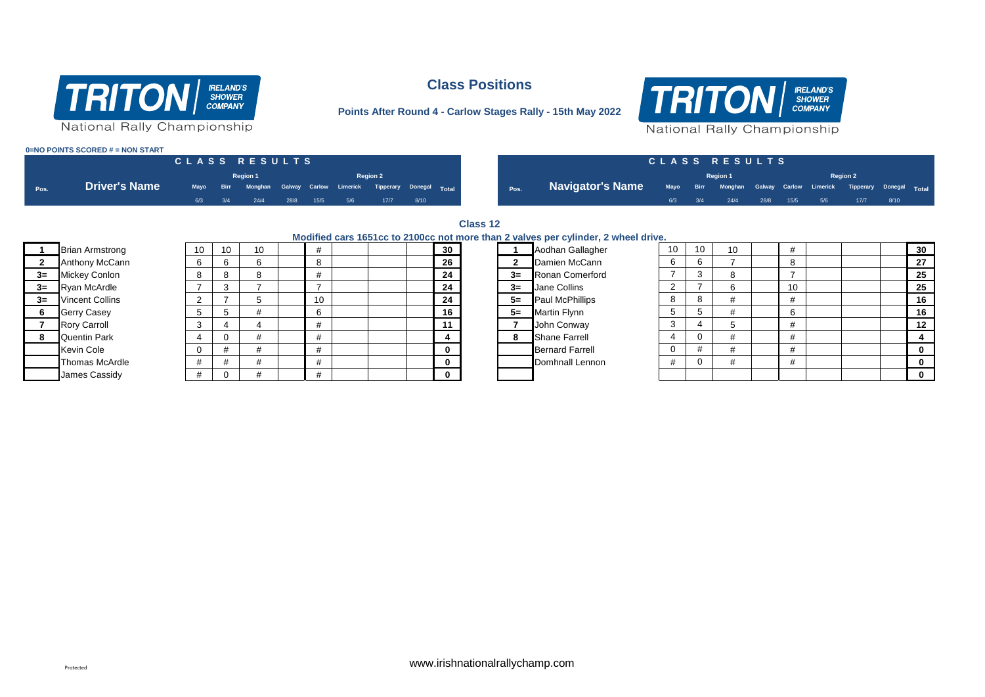

### **Class Positions**

**Points After Round 4 - Carlow Stages Rally - 15th May 2022**



National Rally Championship

#### **0=NO POINTS SCORED # = NON START**

|      |                      | CLASS RESULTS |                                                                  |  |                 |  |      |                                                                                                    |  | CLASS RESULTS              |  |                 |  |
|------|----------------------|---------------|------------------------------------------------------------------|--|-----------------|--|------|----------------------------------------------------------------------------------------------------|--|----------------------------|--|-----------------|--|
|      |                      |               | <b>Region 1</b>                                                  |  | <b>Region 2</b> |  |      |                                                                                                    |  | <b>Region 1</b>            |  | <b>Region 2</b> |  |
| Pos. | <b>Driver's Name</b> |               | Mayo Birr Monghan Galway Carlow Limerick Tipperary Donegal Total |  |                 |  | Pos. | <b>Navigator's Name</b> Mayo Birr Monghan Galway Carlow Limerick Tipperary Donegal <sub>Tota</sub> |  |                            |  |                 |  |
|      |                      |               | 6/3 3/4 24/4 28/8 15/5 5/6 17/7 8/10                             |  |                 |  |      |                                                                                                    |  | 6/3 3/4 24/4 28/8 15/5 5/6 |  | $17/7$ 8/10     |  |

# 6/3 3/4 24/4 28/8 15/5 5/6 17/7 8/10 6/3 3/4 24/4 28/8 15/5 5/6 17/7 8/10 **C L A S S R E S U L T S C L A S S R E S U L T S Region 1 Region 2**

**Class 12**

|      |                        |    |                 |    |  |    |                   | Modified cars 1651cc to 2100cc not more than 2 valves per cylinder, 2 wheel drive. |    |    |    |    |  |              |
|------|------------------------|----|-----------------|----|--|----|-------------------|------------------------------------------------------------------------------------|----|----|----|----|--|--------------|
|      | <b>Brian Armstrong</b> | 10 | 10 <sup>°</sup> |    |  | 30 |                   | Aodhan Gallagher                                                                   | 10 | 10 | 10 |    |  | 30           |
|      | Anthony McCann         |    |                 | ŏ  |  | 26 | $\mathbf{\Omega}$ | Damien McCann                                                                      | b  |    |    |    |  | 27           |
| $3=$ | <b>Mickey Conlon</b>   |    |                 |    |  | 24 | $3=$              | Ronan Comerford                                                                    |    |    | 8  |    |  | 25           |
| $3=$ | <b>Ryan McArdle</b>    |    |                 |    |  | 24 | $3=$              | Jane Collins                                                                       |    |    | 6  | 10 |  | 25           |
| $3=$ | <b>Vincent Collins</b> |    |                 | 10 |  | 24 | $5=$              | Paul McPhillips                                                                    | ŏ  |    |    |    |  | 16           |
|      | <b>Gerry Casey</b>     |    |                 | b  |  | 16 | $5=$              | Martin Flynn                                                                       |    |    | #  |    |  | 16           |
|      | <b>Rory Carroll</b>    |    |                 |    |  |    |                   | John Conway                                                                        |    |    |    |    |  | 12           |
|      | <b>Quentin Park</b>    |    |                 |    |  |    | 8                 | <b>Shane Farrell</b>                                                               |    |    | #  |    |  | 4            |
|      | <b>Kevin Cole</b>      |    |                 |    |  | 0  |                   | <b>Bernard Farrell</b>                                                             |    |    | #  |    |  | $\mathbf 0$  |
|      | Thomas McArdle         |    |                 |    |  | 0  |                   | Domhnall Lennon                                                                    | #  |    | #  |    |  | $\mathbf 0$  |
|      | James Cassidy          |    |                 |    |  | O  |                   |                                                                                    |    |    |    |    |  | $\mathbf{0}$ |
|      |                        |    |                 |    |  |    |                   |                                                                                    |    |    |    |    |  |              |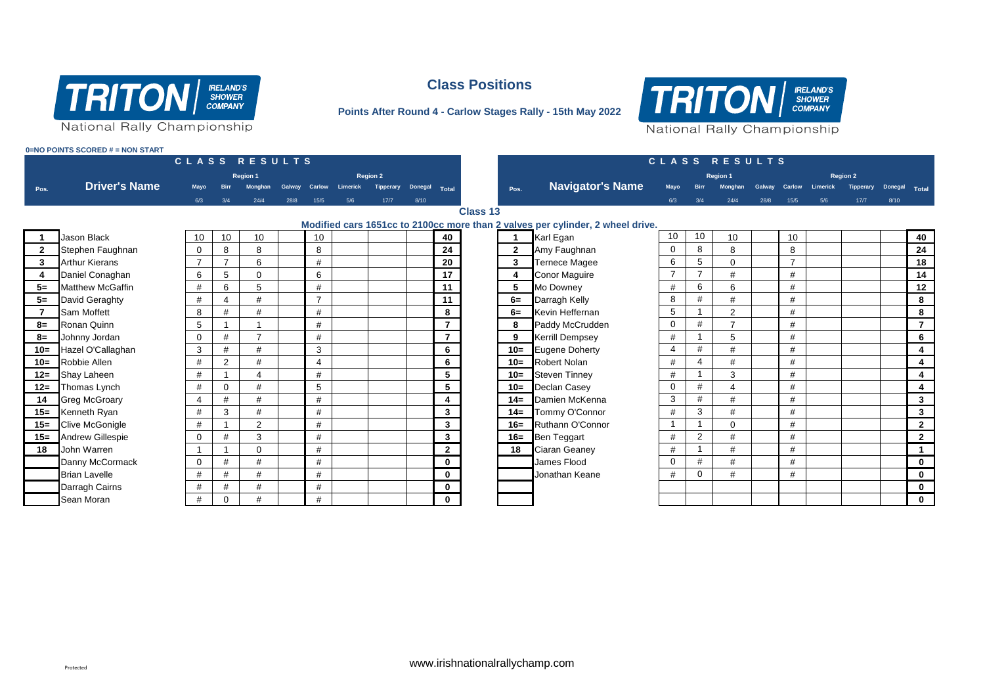

**0=NO POINTS SCORED # = NON START**

# **Class Positions**



**Points After Round 4 - Carlow Stages Rally - 15th May 2022**

|                |                         |                |                         | CLASS RESULTS   |        |                 |                 |                 |         |                |                 |              |                                                                                |                |                | CLASS RESULTS  |      |                |          |                  |         |                |
|----------------|-------------------------|----------------|-------------------------|-----------------|--------|-----------------|-----------------|-----------------|---------|----------------|-----------------|--------------|--------------------------------------------------------------------------------|----------------|----------------|----------------|------|----------------|----------|------------------|---------|----------------|
|                |                         |                |                         | <b>Region 1</b> |        |                 |                 | <b>Region 2</b> |         |                |                 |              |                                                                                |                |                | Region 1       |      |                |          | <b>Region 2</b>  |         |                |
| Pos.           | <b>Driver's Name</b>    | Mayo           | <b>Birr</b>             | Monghan         | Galway | Carlow          | <b>Limerick</b> | Tipperary       | Donegal | Total          |                 | Pos.         | <b>Navigator's Name</b>                                                        | Mayo           | <b>Birr</b>    | <b>Monghan</b> |      | Galway Carlow  | Limerick | <b>Tipperary</b> | Donegal | Total          |
|                |                         | 6/3            | 3/4                     | 24/4            | 28/8   | 15/5            | 5/6             | 17/7            | 8/10    |                |                 |              |                                                                                | 6/3            | 3/4            | 24/4           | 28/8 | 15/5           | 5/6      | 17/7             | 8/10    |                |
|                |                         |                |                         |                 |        |                 |                 |                 |         |                | <b>Class 13</b> |              |                                                                                |                |                |                |      |                |          |                  |         |                |
|                |                         |                |                         |                 |        |                 |                 |                 |         |                |                 |              | Modified cars 1651cc to 2100cc more than 2 valves per cylinder, 2 wheel drive. |                |                |                |      |                |          |                  |         |                |
|                | Jason Black             | 10             | 10                      | 10              |        | 10 <sup>1</sup> |                 |                 |         | 40             |                 | $\mathbf{1}$ | Karl Egan                                                                      | 10             | 10             | 10             |      | 10             |          |                  |         | 40             |
| $\mathbf{2}$   | Stephen Faughnan        | $\mathbf 0$    | 8                       | 8               |        | 8               |                 |                 |         | 24             |                 | $\mathbf{2}$ | Amy Faughnan                                                                   | $\mathbf{0}$   | 8              | 8              |      | 8              |          |                  |         | 24             |
| 3 <sup>1</sup> | <b>Arthur Kierans</b>   | $\overline{7}$ | $\overline{7}$          | 6               |        | #               |                 |                 |         | 20             |                 | $\mathbf{3}$ | <b>Ternece Magee</b>                                                           | 6              | 5              | $\mathbf 0$    |      | $\overline{7}$ |          |                  |         | 18             |
| 4              | Daniel Conaghan         | 6              | 5                       | $\Omega$        |        | 6               |                 |                 |         | 17             |                 | 4            | <b>Conor Maguire</b>                                                           | $\overline{7}$ | $\overline{7}$ | #              |      | #              |          |                  |         | 14             |
| $5=$           | <b>Matthew McGaffin</b> | #              | 6                       | 5               |        | #               |                 |                 |         | 11             |                 | 5            | Mo Downey                                                                      | #              | 6              | 6              |      | #              |          |                  |         | 12             |
| $5=$           | David Geraghty          | #              | $\overline{\mathbf{A}}$ | #               |        | $\overline{7}$  |                 |                 |         | 11             |                 | $6=$         | Darragh Kelly                                                                  | 8              | #              | #              |      | #              |          |                  |         | 8              |
| $\overline{7}$ | Sam Moffett             | 8              | #                       | #               |        | #               |                 |                 |         | 8              |                 | $6=$         | Kevin Heffernan                                                                | 5              |                | 2              |      | #              |          |                  |         | 8              |
| $8=$           | Ronan Quinn             | 5              |                         |                 |        | #               |                 |                 |         | $\overline{7}$ |                 | 8            | Paddy McCrudden                                                                | $\mathbf 0$    | #              | $\overline{ }$ |      | #              |          |                  |         | $\overline{7}$ |
|                | 8= Johnny Jordan        | $\mathbf 0$    | #                       | $\overline{ }$  |        | #               |                 |                 |         | $\overline{7}$ |                 | 9            | <b>Kerrill Dempsey</b>                                                         | #              |                | 5              |      | #              |          |                  |         | 6              |
|                | 10= Hazel O'Callaghan   | 3              | #                       | #               |        | 3               |                 |                 |         | 6              |                 | $10 =$       | <b>Eugene Doherty</b>                                                          | $\overline{4}$ | $\#$           | #              |      | #              |          |                  |         | 4              |
|                | 10= Robbie Allen        | #              | 2                       | #               |        | 4               |                 |                 |         | 6              |                 | $10 =$       | <b>Robert Nolan</b>                                                            | #              |                | #              |      | #              |          |                  |         | 4              |
|                | 12= Shay Laheen         | #              |                         |                 |        | #               |                 |                 |         | 5              |                 | $10 =$       | <b>Steven Tinnev</b>                                                           | #              |                | 3              |      | #              |          |                  |         | $\overline{4}$ |
|                | 12= Thomas Lynch        | #              | $\Omega$                | #               |        | 5               |                 |                 |         | 5              |                 | $10 =$       | Declan Casey                                                                   | $\mathbf 0$    | #              | $\overline{4}$ |      | #              |          |                  |         | $\overline{4}$ |
| 14             | <b>Greg McGroary</b>    | 4              | #                       | #               |        | #               |                 |                 |         | 4              |                 | $14=$        | Damien McKenna                                                                 | 3              | #              | #              |      | #              |          |                  |         | 3 <sup>1</sup> |
|                | 15 Kenneth Ryan         | #              | 3                       | #               |        | #               |                 |                 |         | $\mathbf{3}$   |                 | $14=$        | Tommy O'Connor                                                                 | #              | 3              | #              |      | #              |          |                  |         | 3 <sup>1</sup> |
|                | 15= Clive McGonigle     | #              | $\overline{1}$          | $\overline{2}$  |        | #               |                 |                 |         | $\mathbf{3}$   |                 | $16 =$       | Ruthann O'Connor                                                               | $\mathbf{1}$   |                | $\Omega$       |      | #              |          |                  |         | $\overline{2}$ |
|                | 15= Andrew Gillespie    | $\mathbf 0$    | #                       | 3               |        | #               |                 |                 |         | $\mathbf{3}$   |                 | $16 =$       | Ben Teggart                                                                    | $\#$           | 2              | #              |      | #              |          |                  |         | $2^{\circ}$    |
|                | 18 John Warren          |                |                         | 0               |        | #               |                 |                 |         | $\overline{2}$ |                 | 18           | Ciaran Geaney                                                                  | #              |                | #              |      | #              |          |                  |         | $\mathbf{1}$   |
|                | Danny McCormack         | $\mathbf 0$    | #                       | #               |        | #               |                 |                 |         | $\mathbf 0$    |                 |              | James Flood                                                                    | $\mathbf 0$    | #              | #              |      | #              |          |                  |         | $\mathbf{0}$   |
|                | <b>Brian Lavelle</b>    | #              | #                       | #               |        | #               |                 |                 |         | $\mathbf 0$    |                 |              | Jonathan Keane                                                                 | #              | $\mathbf 0$    | #              |      | #              |          |                  |         | $\mathbf 0$    |
|                | Darragh Cairns          | #              | $\#$                    | #               |        | #               |                 |                 |         | $\mathbf 0$    |                 |              |                                                                                |                |                |                |      |                |          |                  |         | $\mathbf 0$    |
|                | Sean Moran              | #              | $\mathbf 0$             | #               |        | #               |                 |                 |         | $\mathbf{0}$   |                 |              |                                                                                |                |                |                |      |                |          |                  |         | $\mathbf{0}$   |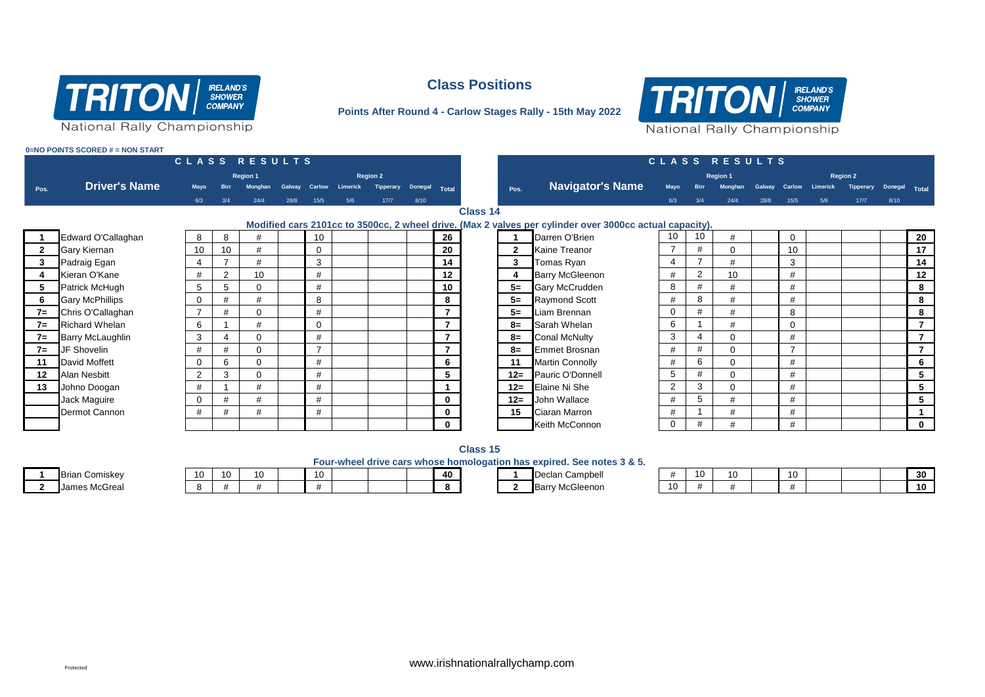

### **Class Positions**



**Points After Round 4 - Carlow Stages Rally - 15th May 2022**

National Rally Championship

### **0=NO POINTS SCORED # = NON START** Pos. **Driver's Name** Mayo Birr Monghan Galway Carlow Limerick Tipperary Donegal Total Pos. Navigator's Name Mayo Birr Monghan Galway Carlow Limerick Tipperary Donegal Total 6/3 3/4 24/4 28/8 15/5 5/6 17/7 8/10 6/3 3/4 24/4 28/8 15/5 5/6 17/7 8/10 **C L A S S R E S U L T S C L A S S R E S U L T S Region 1 Region 2 Driver's Name Region 1 Region 2 Navigator's Name Class 14 Modified cars 2101cc to 3500cc, 2 wheel drive. (Max 2 valves per cylinder over 3000cc actual capacity). 1** Edward O'Callaghan 8 8 # 10 **26 1** Darren O'Brien 10 10 # 0 **20 2** Gary Kiernan 10 10 # 0 **20 2** Kaine Treanor 7 # 0 10 **17 3** Padraig Egan 4 7 # 3 **14 3** Tomas Ryan 4 7 # 3 **14 4** Kieran O'Kane # 2 10 # **12 4** Barry McGleenon # 2 10 # **12 5** Patrick McHugh 5 5 0 # **10 5=** Gary McCrudden 8 # # # **8 6** Gary McPhillips | 0 | # | # | | 8 | | | 8 | | 5= |Raymond Scott | # | 8 | # | | | | | 8 **7=** Chris O'Callaghan 7 # 0 # **7 5=** Liam Brennan 0 # # 8 **8 7=** Richard Whelan 6 1 # 0 **7 8=** Sarah Whelan 6 1 # 0 **7 7=** Barry McLaughlin 3 4 0 # **7 8=** Conal McNulty 3 4 0 # **7 7=** JF Shovelin # # 0 7 **7 8=** Emmet Brosnan # # 0 7 **7 11** David Moffett 0 6 0 # **6 11** Martin Connolly # 6 0 # **6 12** Alan Nesbitt 2 3 0 # **5 12=** Pauric O'Donnell 5 # 0 # **5 13** Johno Doogan # 1 # # **1 12=** Elaine Ni She 2 3 0 # **5** Jack Maguire 0 # # # **0 12=** John Wallace # 5 # # **5** Dermot Cannon # # # # **0 15** Ciaran Marron # 1 # # **1 0 1 Keith McConnon 0 1 0 1 1 1 1 1 1 1 0**

**Class 15**

|  | <b>Brian Comiskey</b> |  |  |
|--|-----------------------|--|--|
|  | Llames McGreal        |  |  |

**Four-wheel drive cars whose homologation has expired. See notes 3 & 5.**

|                       |    |     |    |    |    |  | . var mnoel anto varo mnoeo homologation nao explicatious sou c'hol |    |  |  |  |              |
|-----------------------|----|-----|----|----|----|--|---------------------------------------------------------------------|----|--|--|--|--------------|
| <b>Brian Comiskey</b> | 10 | 10. | 10 | 10 | 40 |  | <b>Declar</b><br>ı Campbell<br><b>Deuc</b>                          |    |  |  |  | $\sim$<br>งบ |
| James McGreal         |    |     |    |    |    |  | <b>Try McGleenon</b><br>Barry                                       | 10 |  |  |  |              |